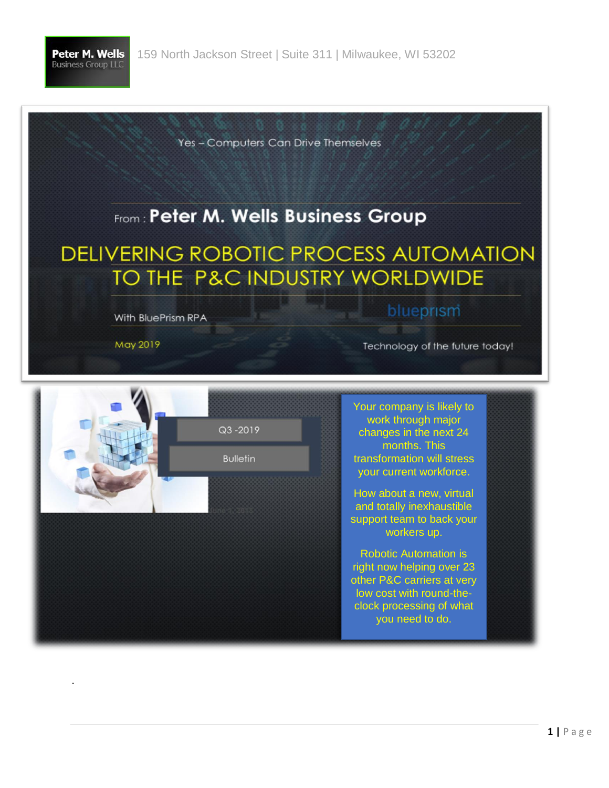

Yes - Computers Can Drive Themselves

## From: Peter M. Wells Business Group

**DELIVERING ROBOTIC PROCESS AUTOMATION** TO THE P&C INDUSTRY WORLDWIDE

With BluePrism RPA

May 2019

.

blueprism

Technology of the future today!

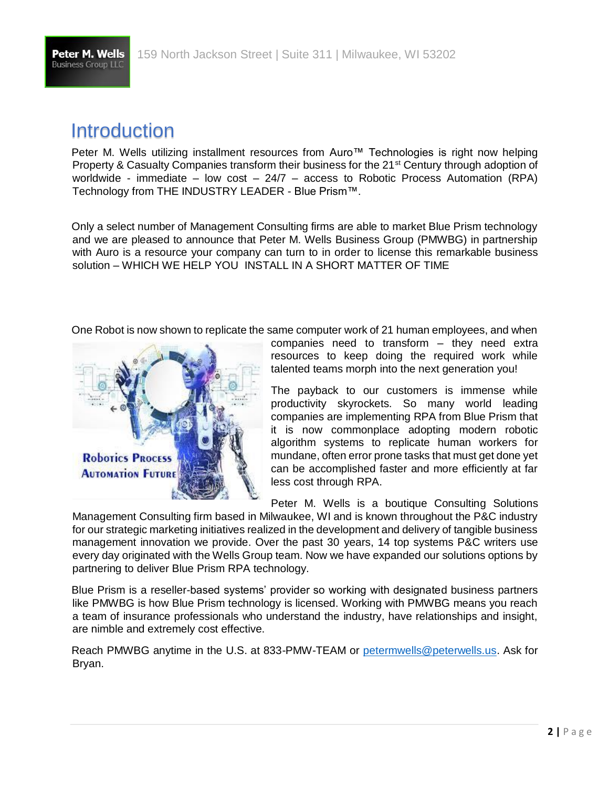

### Introduction

Peter M. Wells utilizing installment resources from Auro<sup>™</sup> Technologies is right now helping Property & Casualty Companies transform their business for the 21<sup>st</sup> Century through adoption of worldwide - immediate – low cost –  $24/7$  – access to Robotic Process Automation (RPA) Technology from THE INDUSTRY LEADER - Blue Prism™.

Only a select number of Management Consulting firms are able to market Blue Prism technology and we are pleased to announce that Peter M. Wells Business Group (PMWBG) in partnership with Auro is a resource your company can turn to in order to license this remarkable business solution – WHICH WE HELP YOU INSTALL IN A SHORT MATTER OF TIME

One Robot is now shown to replicate the same computer work of 21 human employees, and when



companies need to transform – they need extra resources to keep doing the required work while talented teams morph into the next generation you!

The payback to our customers is immense while productivity skyrockets. So many world leading companies are implementing RPA from Blue Prism that it is now commonplace adopting modern robotic algorithm systems to replicate human workers for mundane, often error prone tasks that must get done yet can be accomplished faster and more efficiently at far less cost through RPA.

Peter M. Wells is a boutique Consulting Solutions

Management Consulting firm based in Milwaukee, WI and is known throughout the P&C industry for our strategic marketing initiatives realized in the development and delivery of tangible business management innovation we provide. Over the past 30 years, 14 top systems P&C writers use every day originated with the Wells Group team. Now we have expanded our solutions options by partnering to deliver Blue Prism RPA technology.

Blue Prism is a reseller-based systems' provider so working with designated business partners like PMWBG is how Blue Prism technology is licensed. Working with PMWBG means you reach a team of insurance professionals who understand the industry, have relationships and insight, are nimble and extremely cost effective.

Reach PMWBG anytime in the U.S. at 833-PMW-TEAM or petermwells@peterwells.us. Ask for Bryan.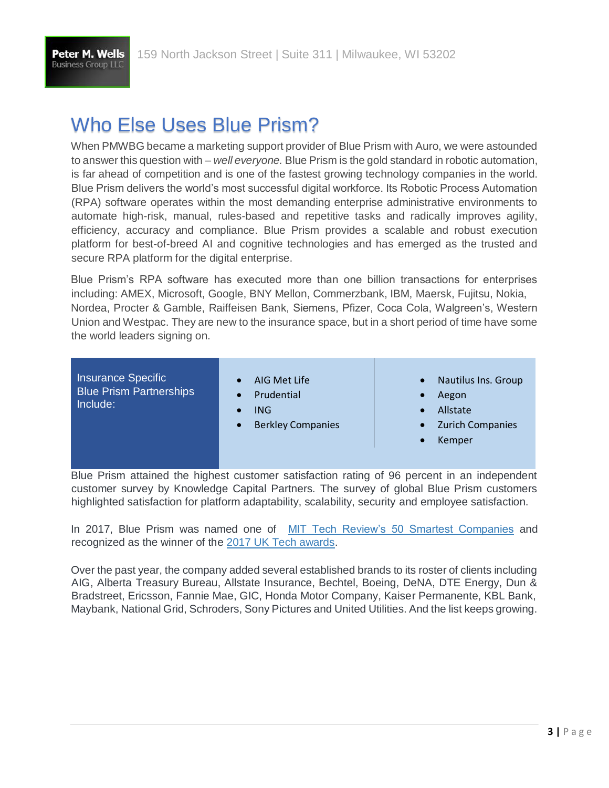

# Who Else Uses Blue Prism?

When PMWBG became a marketing support provider of Blue Prism with Auro, we were astounded to answer this question with – *well everyone.* Blue Prism is the gold standard in robotic automation, is far ahead of competition and is one of the fastest growing technology companies in the world. Blue Prism delivers the world's most successful digital workforce. Its Robotic Process Automation (RPA) software operates within the most demanding enterprise administrative environments to automate high-risk, manual, rules-based and repetitive tasks and radically improves agility, efficiency, accuracy and compliance. Blue Prism provides a scalable and robust execution platform for best-of-breed AI and cognitive technologies and has emerged as the trusted and secure RPA platform for the digital enterprise.

Blue Prism's RPA software has executed more than one billion transactions for enterprises including: AMEX, Microsoft, Google, BNY Mellon, Commerzbank, IBM, Maersk, Fujitsu, Nokia, Nordea, Procter & Gamble, Raiffeisen Bank, Siemens, Pfizer, Coca Cola, Walgreen's, Western Union and Westpac. They are new to the insurance space, but in a short period of time have some the world leaders signing on.

Insurance Specific Blue Prism Partnerships Include:

- AIG Met Life
- **Prudential**
- ING
- Berkley Companies
- Nautilus Ins. Group
- Aegon
- Allstate
- Zurich Companies
- Kemper

Blue Prism attained the highest customer satisfaction rating of 96 percent in an independent customer survey by Knowledge Capital Partners. The survey of global Blue Prism customers highlighted satisfaction for platform adaptability, scalability, security and employee satisfaction.

In 2017, Blue Prism was named one of [MIT Tech Review's 50 Smartest Companies](https://www.blueprism.com/news/awards/blue-prism-named-mit-technology-reviews-50-smartest-companies-2017) and recognized as the winner of th[e](http://www.uktech-awards.co.uk/winners/) [2017 UK Tech awards.](http://www.uktech-awards.co.uk/winners/) 

Over the past year, the company added several established brands to its roster of clients including AIG, Alberta Treasury Bureau, Allstate Insurance, Bechtel, Boeing, DeNA, DTE Energy, Dun & Bradstreet, Ericsson, Fannie Mae, GIC, Honda Motor Company, Kaiser Permanente, KBL Bank, Maybank, National Grid, Schroders, Sony Pictures and United Utilities. And the list keeps growing.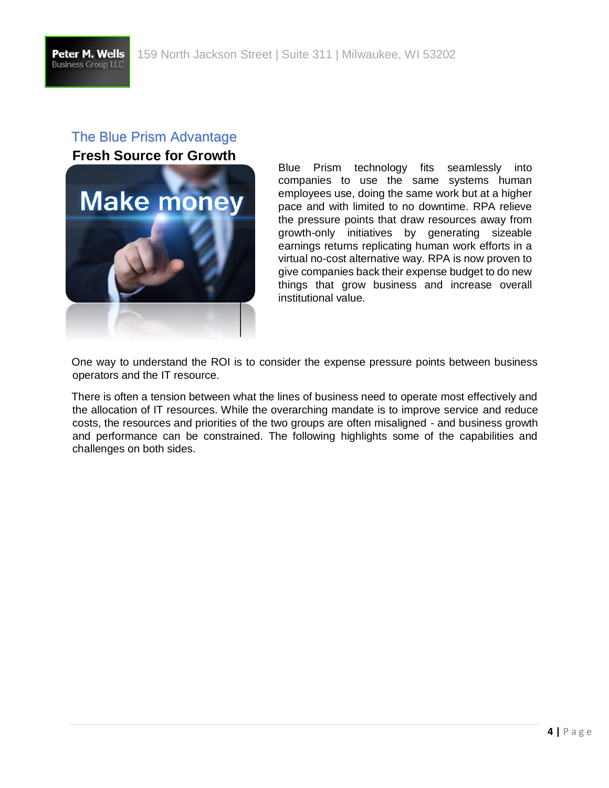#### The Blue Prism Advantage **Fresh Source for Growth**



Blue Prism technology fits seamlessly into companies to use the same systems human employees use, doing the same work but at a higher pace and with limited to no downtime. RPA relieve the pressure points that draw resources away from growth-only initiatives by generating sizeable earnings returns replicating human work efforts in a virtual no-cost alternative way. RPA is now proven to give companies back their expense budget to do new things that grow business and increase overall institutional value.

One way to understand the ROI is to consider the expense pressure points between business operators and the IT resource.

There is often a tension between what the lines of business need to operate most effectively and the allocation of IT resources. While the overarching mandate is to improve service and reduce costs, the resources and priorities of the two groups are often misaligned - and business growth and performance can be constrained. The following highlights some of the capabilities and challenges on both sides.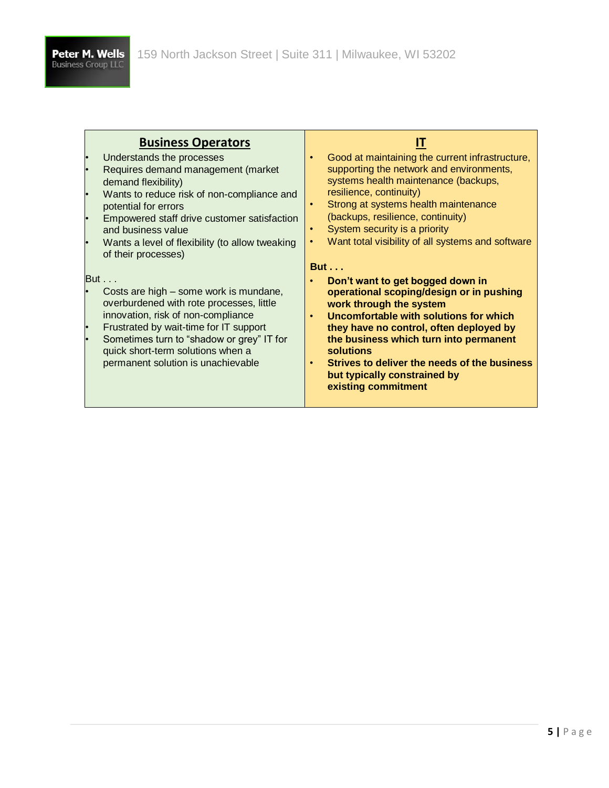| <b>Business Operators</b><br>Understands the processes<br>Requires demand management (market<br>demand flexibility)<br>Wants to reduce risk of non-compliance and<br>potential for errors<br>Empowered staff drive customer satisfaction<br>and business value<br>Wants a level of flexibility (to allow tweaking<br>of their processes) | Good at maintaining the current infrastructure,<br>supporting the network and environments,<br>systems health maintenance (backups,<br>resilience, continuity)<br>Strong at systems health maintenance<br>$\bullet$<br>(backups, resilience, continuity)<br>System security is a priority<br>Want total visibility of all systems and software                                        |
|------------------------------------------------------------------------------------------------------------------------------------------------------------------------------------------------------------------------------------------------------------------------------------------------------------------------------------------|---------------------------------------------------------------------------------------------------------------------------------------------------------------------------------------------------------------------------------------------------------------------------------------------------------------------------------------------------------------------------------------|
| But<br>Costs are high – some work is mundane,<br>overburdened with rote processes, little<br>innovation, risk of non-compliance<br>Frustrated by wait-time for IT support<br>Sometimes turn to "shadow or grey" IT for<br>quick short-term solutions when a<br>permanent solution is unachievable                                        | <b>But</b><br>Don't want to get bogged down in<br>operational scoping/design or in pushing<br>work through the system<br>Uncomfortable with solutions for which<br>$\bullet$<br>they have no control, often deployed by<br>the business which turn into permanent<br>solutions<br>Strives to deliver the needs of the business<br>but typically constrained by<br>existing commitment |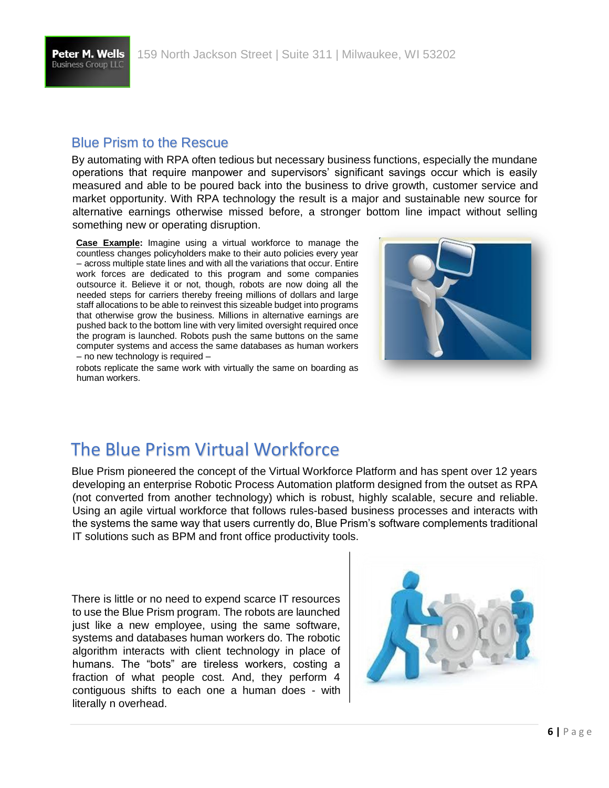Peter M. Wells **Business Group LLC** 

#### Blue Prism to the Rescue

By automating with RPA often tedious but necessary business functions, especially the mundane operations that require manpower and supervisors' significant savings occur which is easily measured and able to be poured back into the business to drive growth, customer service and market opportunity. With RPA technology the result is a major and sustainable new source for alternative earnings otherwise missed before, a stronger bottom line impact without selling something new or operating disruption.

**Case Example:** Imagine using a virtual workforce to manage the countless changes policyholders make to their auto policies every year – across multiple state lines and with all the variations that occur. Entire work forces are dedicated to this program and some companies outsource it. Believe it or not, though, robots are now doing all the needed steps for carriers thereby freeing millions of dollars and large staff allocations to be able to reinvest this sizeable budget into programs that otherwise grow the business. Millions in alternative earnings are pushed back to the bottom line with very limited oversight required once the program is launched. Robots push the same buttons on the same computer systems and access the same databases as human workers – no new technology is required –

robots replicate the same work with virtually the same on boarding as human workers.



## The Blue Prism Virtual Workforce

Blue Prism pioneered the concept of the Virtual Workforce Platform and has spent over 12 years developing an enterprise Robotic Process Automation platform designed from the outset as RPA (not converted from another technology) which is robust, highly scalable, secure and reliable. Using an agile virtual workforce that follows rules-based business processes and interacts with the systems the same way that users currently do, Blue Prism's software complements traditional IT solutions such as BPM and front office productivity tools.

There is little or no need to expend scarce IT resources to use the Blue Prism program. The robots are launched just like a new employee, using the same software, systems and databases human workers do. The robotic algorithm interacts with client technology in place of humans. The "bots" are tireless workers, costing a fraction of what people cost. And, they perform 4 contiguous shifts to each one a human does - with literally n overhead.

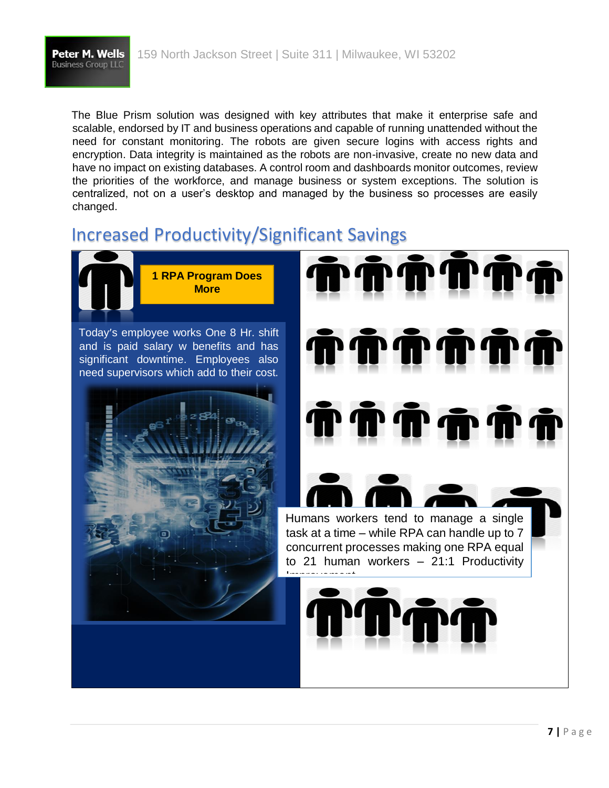

The Blue Prism solution was designed with key attributes that make it enterprise safe and scalable, endorsed by IT and business operations and capable of running unattended without the need for constant monitoring. The robots are given secure logins with access rights and encryption. Data integrity is maintained as the robots are non-invasive, create no new data and have no impact on existing databases. A control room and dashboards monitor outcomes, review the priorities of the workforce, and manage business or system exceptions. The solution is centralized, not on a user's desktop and managed by the business so processes are easily changed.

### Increased Productivity/Significant Savings